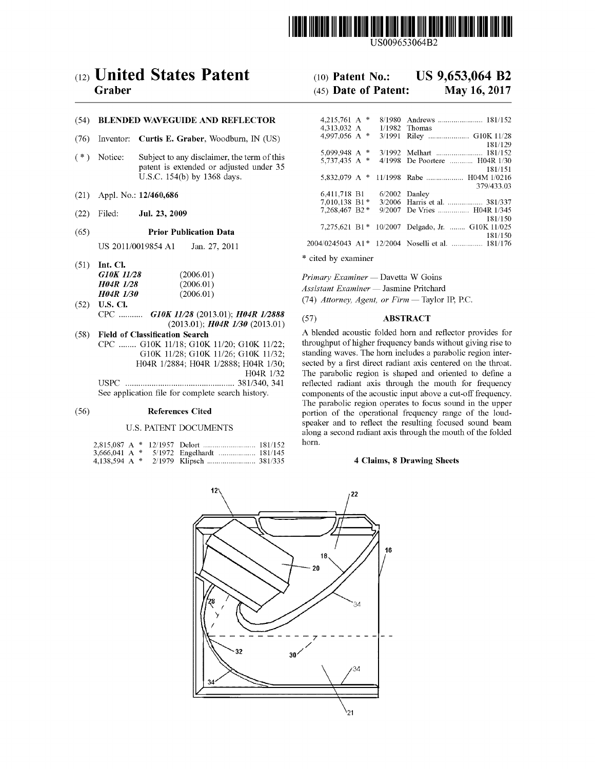

USOO9653064B2

# (54) BLENDED WAVEGUIDE AND REFLECTOR

- (76) Inventor: Curtis E. Graber, Woodburn, IN (US)
- $(* )$  Notice: Subject to any disclaimer, the term of this patent is extended or adjusted under 35 U.S.C. 154(b) by 1368 days.
- 
- 

US 2011/0019854 A1 Jan. 27, 2011 20

| G10K 11/28       | (2006.01) |
|------------------|-----------|
| <b>H04R 1/28</b> | (2006.01) |
| <b>HO4R 1/30</b> | (2006.01) |
|                  |           |

- CPC ...........  $G10K$  11/28 (2013.01);  $H04R$  1/2888 (57) ABSTRACT (2013.01) (2013.01) (58) Field of Classification Search A blended acoustic folded horn and
- 

|  |  |  | norn. |
|--|--|--|-------|
|  |  |  |       |
|  |  |  |       |

# (12) United States Patent (10) Patent No.: US 9,653,064 B2<br>Graber (45) Date of Patent: May 16, 2017

# $(45)$  Date of Patent:

| (54)   |         | <b>BLENDED WAVEGUIDE AND REFLECTOR</b>                                                 | 4.215.761 A $*$<br>4.313.032 A     |  | $1/1982$ Thomas                                             |
|--------|---------|----------------------------------------------------------------------------------------|------------------------------------|--|-------------------------------------------------------------|
| (76)   |         | Inventor: Curtis E. Graber, Woodburn, IN (US)                                          | 4.997.056 A $*$                    |  | 3/1991 Riley  G10K 11/28<br>181/129                         |
| $($ *) | Notice: | Subject to any disclaimer, the term of this<br>patent is extended or adjusted under 35 | 5.099.948 A $*$<br>5.737.435 A $*$ |  | 4/1998 De Poortere  H04R 1/30<br>181/151                    |
|        |         | U.S.C. 154(b) by 1368 days.                                                            |                                    |  | 379/433.03                                                  |
| (21)   |         | Appl. No.: 12/460,686                                                                  | 6.411.718 B1<br>$7.010.138$ B1 $*$ |  | $6/2002$ Danley<br>3/2006 Harris et al.  381/337            |
| (22)   | Filed:  | Jul. 23, 2009                                                                          | $7.268.467 B2*$                    |  | 9/2007 De Vries  H04R 1/345<br>181/150                      |
| (65)   |         | <b>Prior Publication Data</b>                                                          |                                    |  | 7,275,621 B1 * 10/2007 Delgado, Jr.  G10K 11/025<br>181/150 |
|        |         | US 2011/0019854 A1<br>- Jan. 27. 2011                                                  |                                    |  | 2004/0245043 A1* 12/2004 Noselli et al.  181/176            |

\* cited by examiner (51) Int. Cl.

Primary Examiner — Davetta W Goins

Assistant Examiner — Jasmine Pritchard

 $H\rightarrow R$   $H\rightarrow R$   $L\rightarrow 0$  (2000.01)  $(74)$  Attorney, Agent, or Firm — Taylor IP, P.C. (52) U.S. Cl.

Field of Classification Search A blended acoustic folded horn and reflector provides for CPC ........ G10K 11/18; G10K 11/20; G10K 11/22; throughput of higher frequency bands without giving rise to G10K 11/18; G10K 11/20; G10K 11/22; throughput of higher frequency bands without giving rise to G10K 11/26; G10K 11/32; standing waves. The horn includes a parabolic region inter-G10K  $11/28$ ; G10K  $11/26$ ; G10K  $11/32$ ; standing waves. The horn includes a parabolic region inter-<br>H04R  $1/2884$ ; H04R  $1/2888$ ; H04R  $1/30$ ; sected by a first direct radiant axis centered on the throat.  $H04R$  1/30; sected by a first direct radiant axis centered on the throat.<br>H04R 1/32 The parabolic region is shaped and oriented to define a HO4R 1/32 The parabolic region is shaped and oriented to define a USPC .................................................. 381/340, 341 reflected radiant axis through the mouth for frequency components of the acoustic input above a cut-off frequency. The parabolic region operates to focus sound in the upper (56) References Cited portion of the operational frequency range of the loudspeaker and to reflect the resulting focused sound beam U.S. PATENT DOCUMENTS along a second radiant axis through the mouth of the folded

# 4 Claims, 8 Drawing Sheets

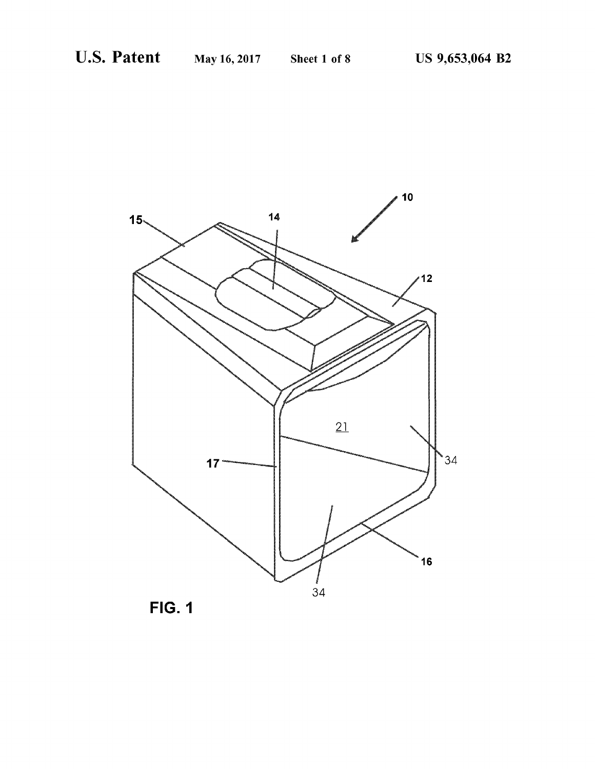

FIG. 1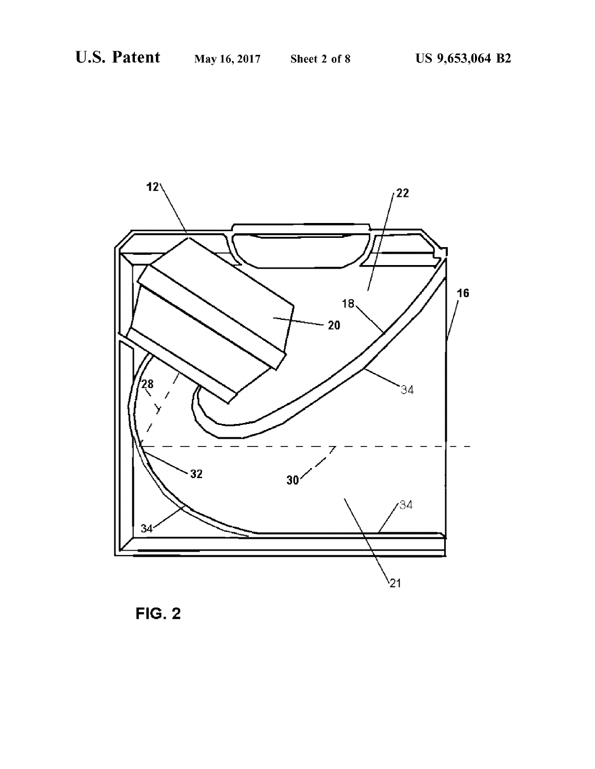

FIG. 2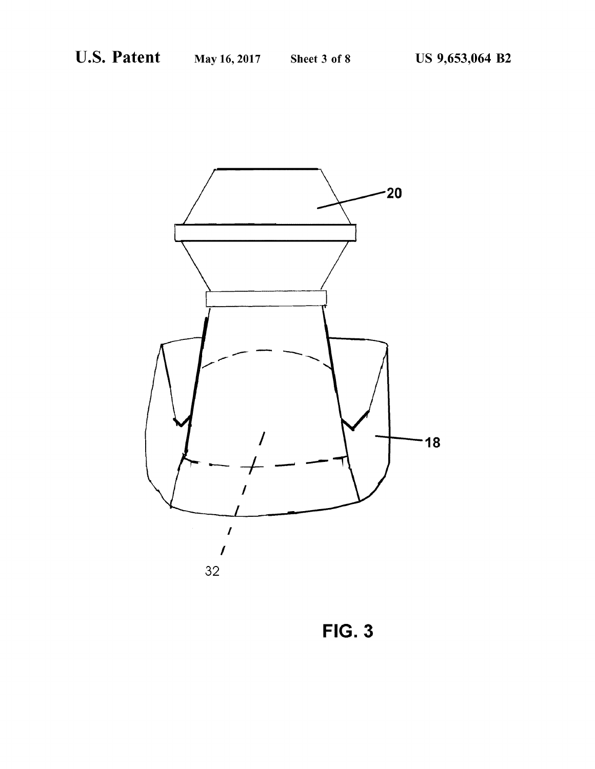

FIG. 3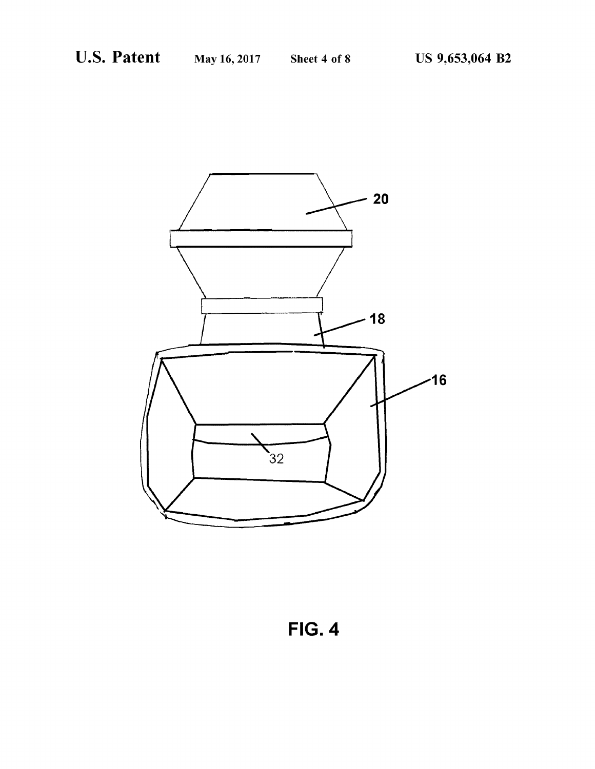

FIG. 4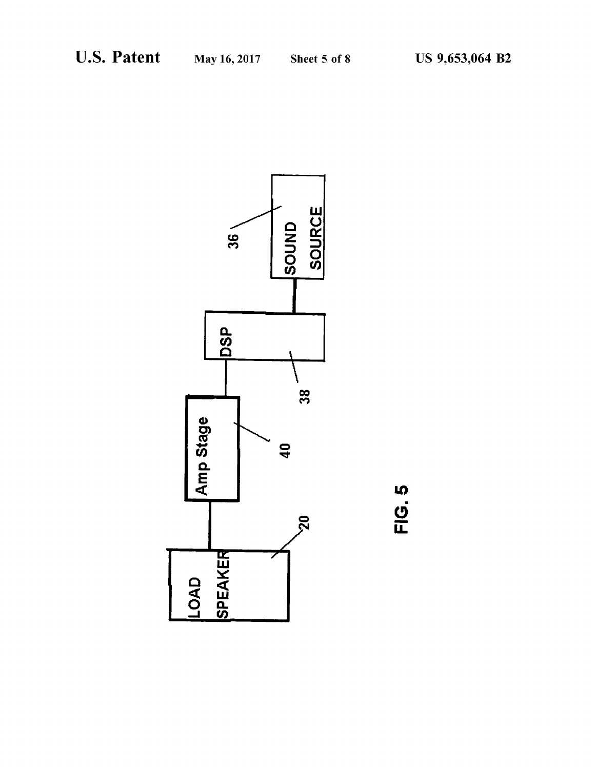

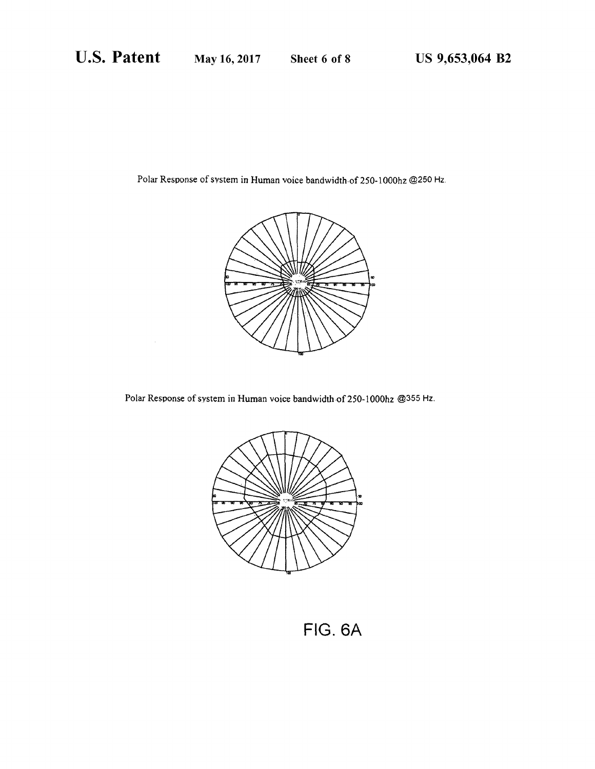Polar Response of system in Human voice bandwidth of 250-1000hz @250 Hz.



Polar Response of system in Human voice bandwidth of 250-1000hz @355 Hz.



FIG. 6A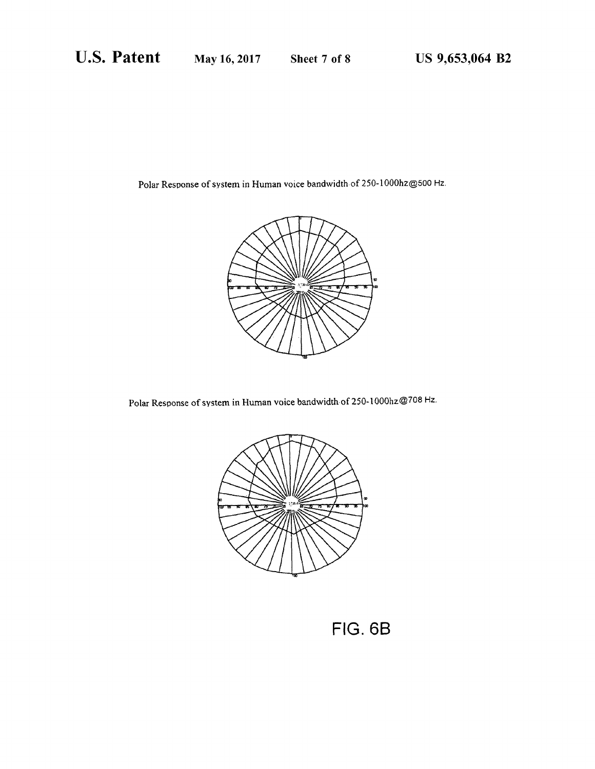Polar Response of system in Human voice bandwidth of 250-1000hz@500 Hz.



Polar Response of system in Human voice bandwidth of 250-1000hz@708 Hz.



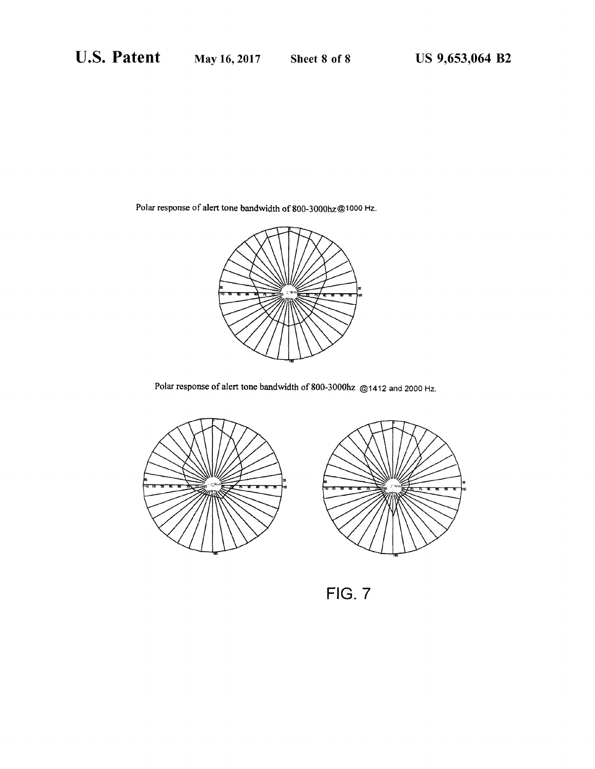Polar response of alert tone bandwidth of 800-3000hz@1000 Hz.



Polar response of alert tone bandwidth of 800-3000hz @1412 and 2000 Hz.





FIG. 7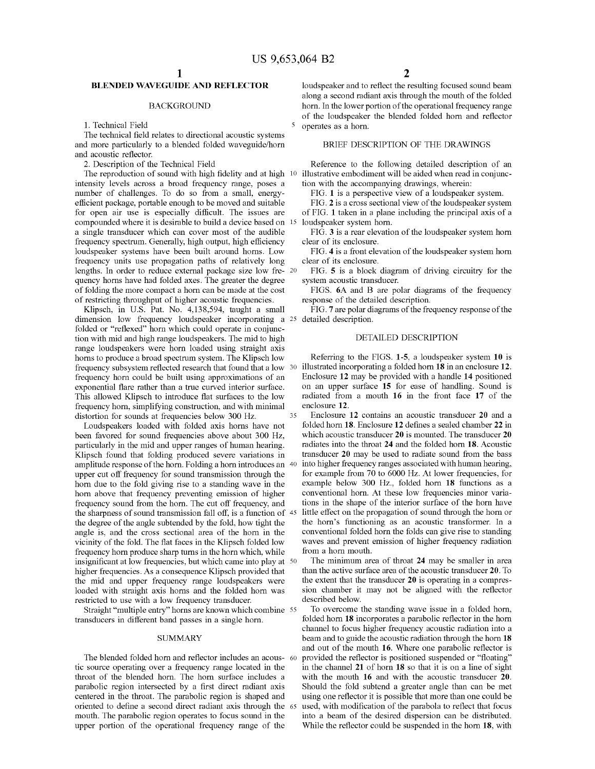# BLENDED WAVEGUIDE AND REFLECTOR

# **BACKGROUND**

1. Technical Field

The technical field relates to directional acoustic systems and more particularly to a blended folded waveguide/horn and acoustic reflector.

2. Description of the Technical Field

intensity levels across a broad frequency range, poses a number of challenges. To do so from a small, energyefficient package, portable enough to be moved and suitable for open air use is especially difficult. The issues are compounded where it is desirable to build a device based on 15 a single transducer which can cover most of the audible frequency spectrum. Generally, high output, high efficiency loudspeaker systems have been built around horns. Low frequency units use propagation paths of relatively long lengths. In order to reduce external package size low fre quency horns have had folded axes. The greater the degree of folding the more compact a horn can be made at the cost of restricting throughput of higher acoustic frequencies.

Klipsch, in U.S. Pat. No. 4,138,594, taught a small dimension low frequency loudspeaker incorporating a 25 detailed description. folded or "reflexed" horn which could operate in conjunction with mid and high range loudspeakers. The mid to high range loudspeakers were horn loaded using straight axis horns to produce a broad spectrum system. The Klipsch low frequency subsystem reflected research that found that a low 30 illustrated incorporating a folded horn 18 in an enclosure 12. frequency horn could be built using approximations of an exponential flare rather than a true curved interior surface. This allowed Klipsch to introduce flat surfaces to the low frequency horn, simplifying construction, and with minimal distortion for sounds at frequencies below 300 Hz. 35

Loudspeakers loaded with folded axis horns have not been favored for sound frequencies above about 300 Hz, particularly in the mid and upper ranges of human hearing. Klipsch found that folding produced severe variations in amplitude response of the horn. Folding a horn introduces an 40 upper cut off frequency for sound transmission through the horn due to the fold giving rise to a standing wave in the horn above that frequency preventing emission of higher frequency sound from the horn. The cut off frequency, and the sharpness of sound transmission fall off, is a function of  $45$ the degree of the angle subtended by the fold, how tight the angle is, and the cross sectional area of the horn in the vicinity of the fold. The flat faces in the Klipsch folded low frequency horn produce sharp turns in the horn which, while insignificant at low frequencies, but which came into play at 50 higher frequencies. As a consequence Klipsch provided that the mid and upper frequency range loudspeakers were loaded with straight axis horns and the folded horn was restricted to use with a low frequency transducer.

Straight "multiple entry' horns are known which combine 55 transducers in different band passes in a single horn.

### SUMMARY

The blended folded horn and reflector includes an acous- 60 tic source operating over a frequency range located in the throat of the blended horn. The horn surface includes a parabolic region intersected by a first direct radiant axis centered in the throat. The parabolic region is shaped and oriented to define a second direct radiant axis through the 65 mouth. The parabolic region operates to focus sound in the upper portion of the operational frequency range of the

loudspeaker and to reflect the resulting focused sound beam along a second radiant axis through the mouth of the folded horn. In the lower portion of the operational frequency range of the loudspeaker the blended folded horn and reflector operates as a horn.

# BRIEF DESCRIPTION OF THE DRAWINGS

The reproduction of sound with high fidelity and at high 10 illustrative embodiment will be aided when read in conjunc-Reference to the following detailed description of an tion with the accompanying drawings, wherein:

FIG. 1 is a perspective view of a loudspeaker system.<br>FIG. 2 is a cross sectional view of the loudspeaker system

of FIG. 1 taken in a plane including the principal axis of a loudspeaker system horn.

FIG. 3 is a rear elevation of the loudspeaker system horn clear of its enclosure.

FIG. 4 is a front elevation of the loudspeaker system horn clear of its enclosure.

FIG. 5 is a block diagram of driving circuitry for the system acoustic transducer.

FIGS. 6A and B are polar diagrams of the frequency response of the detailed description.

FIG. 7 are polar diagrams of the frequency response of the

# DETAILED DESCRIPTION

Referring to the FIGS. 1-5, a loudspeaker system 10 is Enclosure 12 may be provided with a handle 14 positioned on an upper surface 15 for ease of handling. Sound is radiated from a mouth 16 in the front face 17 of the enclosure 12.

Enclosure 12 contains an acoustic transducer 20 and a folded horn 18. Enclosure 12 defines a sealed chamber 22 in which acoustic transducer 20 is mounted. The transducer 20 radiates into the throat 24 and the folded horn 18. Acoustic transducer 20 may be used to radiate sound from the bass into higher frequency ranges associated with human hearing, for example from 70 to 6000 Hz. At lower frequencies, for example below 300 Hz., folded horn 18 functions as a conventional horn. At these low frequencies minor varia tions in the shape of the interior surface of the horn have little effect on the propagation of Sound through the horn or the horn's functioning as an acoustic transformer. In a conventional folded horn the folds can give rise to standing waves and prevent emission of higher frequency radiation from a horn mouth.

The minimum area of throat 24 may be smaller in area than the active surface area of the acoustic transducer 20. To the extent that the transducer 20 is operating in a compres sion chamber it may not be aligned with the reflector described below.

To overcome the standing wave issue in a folded horn, folded horn 18 incorporates a parabolic reflector in the horn channel to focus higher frequency acoustic radiation into a beam and to guide the acoustic radiation through the horn 18 and out of the mouth 16. Where one parabolic reflector is provided the reflector is positioned suspended or "floating in the channel 21 of horn 18 so that it is on a line of sight with the mouth 16 and with the acoustic transducer 20. Should the fold subtend a greater angle than can be met using one reflector it is possible that more than one could be used, with modification of the parabola to reflect that focus into a beam of the desired dispersion can be distributed. While the reflector could be suspended in the horn 18, with